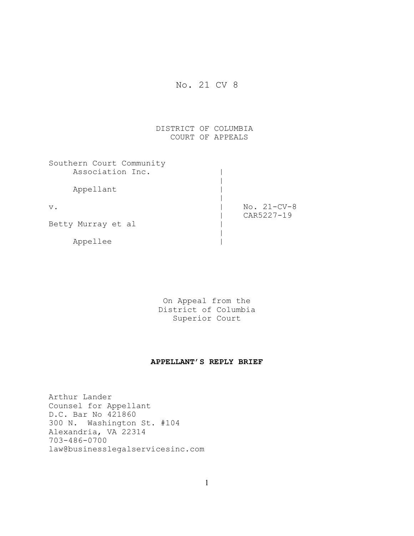## No. 21 CV 8

## DISTRICT OF COLUMBIA COURT OF APPEALS

| Southern Court Community |               |
|--------------------------|---------------|
| Association Inc.         |               |
|                          |               |
| Appellant                |               |
|                          |               |
| $V$ .                    | $No. 21-CV-8$ |
|                          | CAR5227-19    |
| Betty Murray et al       |               |
|                          |               |
| Appellee                 |               |

On Appeal from the District of Columbia Superior Court

## **APPELLANT'S REPLY BRIEF**

Arthur Lander Counsel for Appellant D.C. Bar No 421860 300 N. Washington St. #104 Alexandria, VA 22314 703-486-0700 law@businesslegalservicesinc.com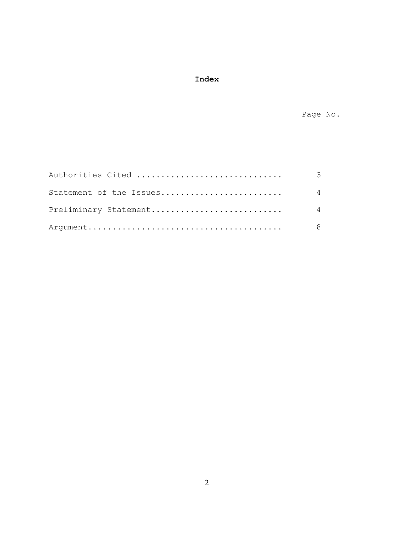# **Index**

Page No.

| Authorities Cited       | - 3            |
|-------------------------|----------------|
| Statement of the Issues | $\overline{4}$ |
| Preliminary Statement   | $\overline{4}$ |
|                         | - 8            |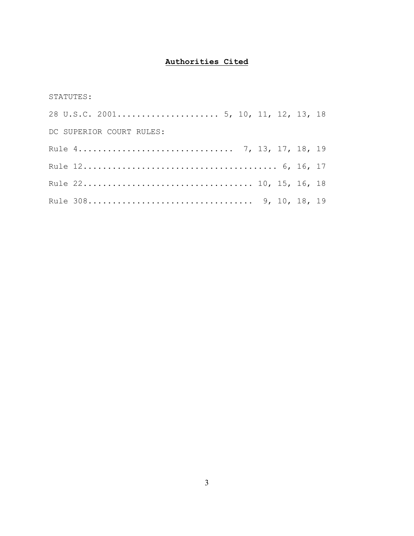# **Authorities Cited**

## STATUTES:

| DC SUPERIOR COURT RULES: |  |  |  |  |
|--------------------------|--|--|--|--|
|                          |  |  |  |  |
|                          |  |  |  |  |
|                          |  |  |  |  |
|                          |  |  |  |  |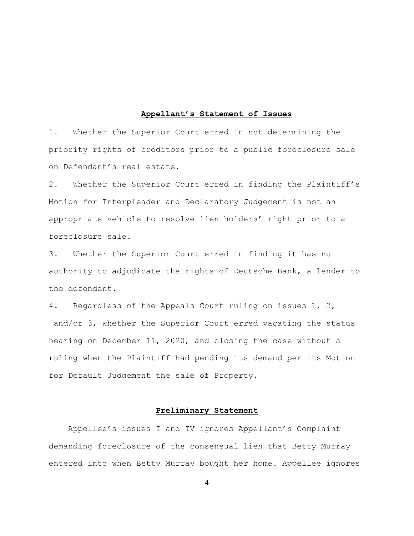#### **Appellant's Statement of Issues**

1. Whether the Superior Court erred in not determining the priority rights of creditors prior to a public foreclosure sale on Defendant's real estate.

2. Whether the Superior Court erred in finding the Plaintiff's Motion for Interpleader and Declaratory Judgement is not an appropriate vehicle to resolve lien holders' right prior to a foreclosure sale.

3. Whether the Superior Court erred in finding it has no authority to adjudicate the rights of Deutsche Bank, a lender to the defendant.

4. Regardless of the Appeals Court ruling on issues 1, 2, and/or 3, whether the Superior Court erred vacating the status hearing on December 11, 2020, and closing the case without a ruling when the Plaintiff had pending its demand per its Motion for Default Judgement the sale of Property.

#### **Preliminary Statement**

 Appellee's issues I and IV ignores Appellant's Complaint demanding foreclosure of the consensual lien that Betty Murray entered into when Betty Murray bought her home. Appellee ignores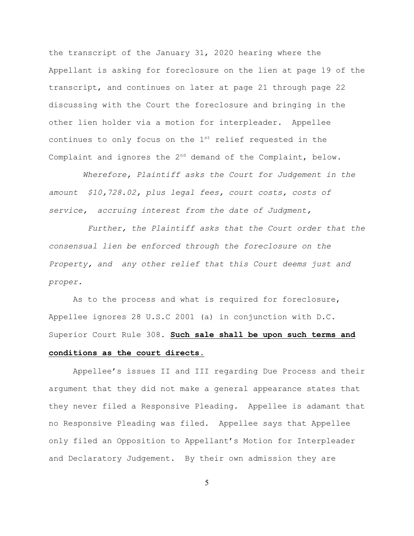the transcript of the January 31, 2020 hearing where the Appellant is asking for foreclosure on the lien at page 19 of the transcript, and continues on later at page 21 through page 22 discussing with the Court the foreclosure and bringing in the other lien holder via a motion for interpleader. Appellee continues to only focus on the  $1<sup>st</sup>$  relief requested in the Complaint and ignores the  $2^{nd}$  demand of the Complaint, below.

 *Wherefore, Plaintiff asks the Court for Judgement in the amount \$10,728.02, plus legal fees, court costs, costs of service, accruing interest from the date of Judgment,* 

 *Further, the Plaintiff asks that the Court order that the consensual lien be enforced through the foreclosure on the Property, and any other relief that this Court deems just and proper.*

As to the process and what is required for foreclosure, Appellee ignores 28 U.S.C 2001 (a) in conjunction with D.C. Superior Court Rule 308. **Such sale shall be upon such terms and conditions as the court directs.**

Appellee's issues II and III regarding Due Process and their argument that they did not make a general appearance states that they never filed a Responsive Pleading. Appellee is adamant that no Responsive Pleading was filed. Appellee says that Appellee only filed an Opposition to Appellant's Motion for Interpleader and Declaratory Judgement. By their own admission they are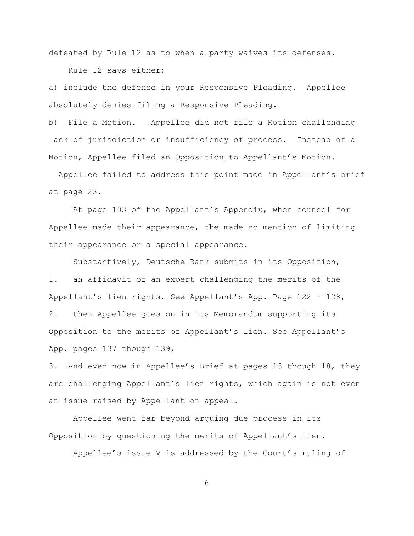defeated by Rule 12 as to when a party waives its defenses. Rule 12 says either:

a) include the defense in your Responsive Pleading. Appellee absolutely denies filing a Responsive Pleading.

b) File a Motion. Appellee did not file a Motion challenging lack of jurisdiction or insufficiency of process. Instead of a Motion, Appellee filed an Opposition to Appellant's Motion.

 Appellee failed to address this point made in Appellant's brief at page 23.

At page 103 of the Appellant's Appendix, when counsel for Appellee made their appearance, the made no mention of limiting their appearance or a special appearance.

Substantively, Deutsche Bank submits in its Opposition, 1. an affidavit of an expert challenging the merits of the Appellant's lien rights. See Appellant's App. Page 122 - 128, 2. then Appellee goes on in its Memorandum supporting its Opposition to the merits of Appellant's lien. See Appellant's App. pages 137 though 139,

3. And even now in Appellee's Brief at pages 13 though 18, they are challenging Appellant's lien rights, which again is not even an issue raised by Appellant on appeal.

Appellee went far beyond arguing due process in its Opposition by questioning the merits of Appellant's lien.

Appellee's issue V is addressed by the Court's ruling of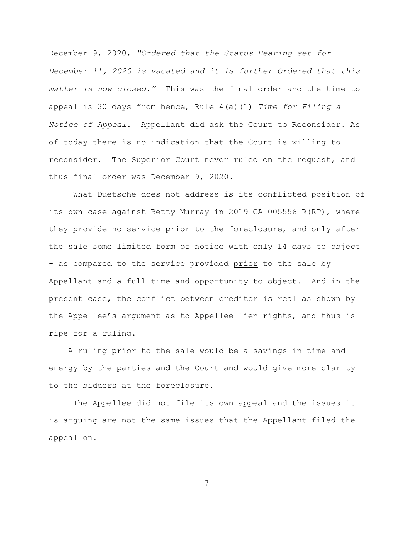December 9, 2020, *"Ordered that the Status Hearing set for December 11, 2020 is vacated and it is further Ordered that this matter is now closed."* This was the final order and the time to appeal is 30 days from hence, Rule 4(a)(1) *Time for Filing a Notice of Appeal*. Appellant did ask the Court to Reconsider. As of today there is no indication that the Court is willing to reconsider. The Superior Court never ruled on the request, and thus final order was December 9, 2020.

What Duetsche does not address is its conflicted position of its own case against Betty Murray in 2019 CA 005556 R(RP), where they provide no service prior to the foreclosure, and only after the sale some limited form of notice with only 14 days to object - as compared to the service provided prior to the sale by Appellant and a full time and opportunity to object. And in the present case, the conflict between creditor is real as shown by the Appellee's argument as to Appellee lien rights, and thus is ripe for a ruling.

 A ruling prior to the sale would be a savings in time and energy by the parties and the Court and would give more clarity to the bidders at the foreclosure.

The Appellee did not file its own appeal and the issues it is arguing are not the same issues that the Appellant filed the appeal on.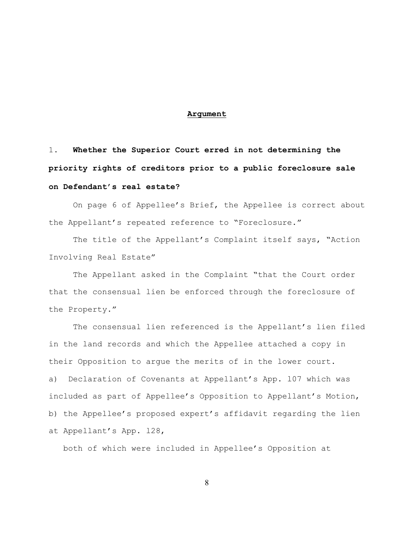#### **Argument**

1. **Whether the Superior Court erred in not determining the priority rights of creditors prior to a public foreclosure sale on Defendant's real estate?**

On page 6 of Appellee's Brief, the Appellee is correct about the Appellant's repeated reference to "Foreclosure."

The title of the Appellant's Complaint itself says, "Action Involving Real Estate"

The Appellant asked in the Complaint "that the Court order that the consensual lien be enforced through the foreclosure of the Property."

The consensual lien referenced is the Appellant's lien filed in the land records and which the Appellee attached a copy in their Opposition to argue the merits of in the lower court. a) Declaration of Covenants at Appellant's App. l07 which was included as part of Appellee's Opposition to Appellant's Motion, b) the Appellee's proposed expert's affidavit regarding the lien at Appellant's App. l28,

both of which were included in Appellee's Opposition at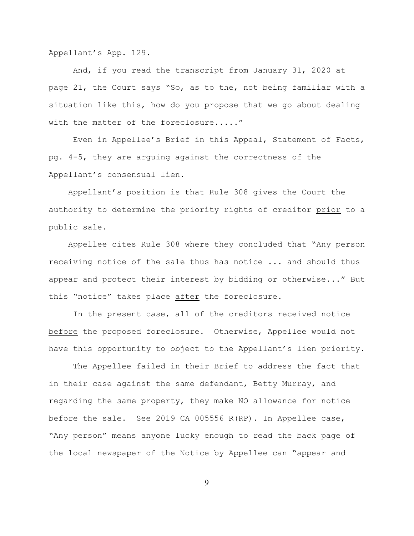Appellant's App. 129.

And, if you read the transcript from January 31, 2020 at page 21, the Court says "So, as to the, not being familiar with a situation like this, how do you propose that we go about dealing with the matter of the foreclosure....."

Even in Appellee's Brief in this Appeal, Statement of Facts, pg. 4-5, they are arguing against the correctness of the Appellant's consensual lien.

Appellant's position is that Rule 308 gives the Court the authority to determine the priority rights of creditor prior to a public sale.

 Appellee cites Rule 308 where they concluded that "Any person receiving notice of the sale thus has notice ... and should thus appear and protect their interest by bidding or otherwise..." But this "notice" takes place after the foreclosure.

 In the present case, all of the creditors received notice before the proposed foreclosure. Otherwise, Appellee would not have this opportunity to object to the Appellant's lien priority.

The Appellee failed in their Brief to address the fact that in their case against the same defendant, Betty Murray, and regarding the same property, they make NO allowance for notice before the sale. See 2019 CA 005556 R(RP). In Appellee case, "Any person" means anyone lucky enough to read the back page of the local newspaper of the Notice by Appellee can "appear and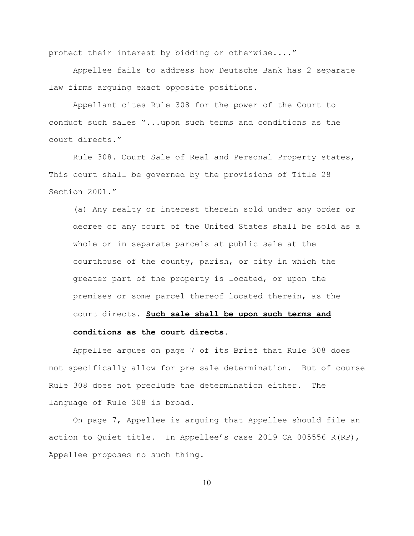protect their interest by bidding or otherwise...."

 Appellee fails to address how Deutsche Bank has 2 separate law firms arguing exact opposite positions.

Appellant cites Rule 308 for the power of the Court to conduct such sales "...upon such terms and conditions as the court directs."

Rule 308. Court Sale of Real and Personal Property states, This court shall be governed by the provisions of Title 28 Section 2001."

(a) Any realty or interest therein sold under any order or decree of any court of the United States shall be sold as a whole or in separate parcels at public sale at the courthouse of the county, parish, or city in which the greater part of the property is located, or upon the premises or some parcel thereof located therein, as the court directs. **Such sale shall be upon such terms and**

### **conditions as the court directs.**

Appellee argues on page 7 of its Brief that Rule 308 does not specifically allow for pre sale determination. But of course Rule 308 does not preclude the determination either. The language of Rule 308 is broad.

On page 7, Appellee is arguing that Appellee should file an action to Quiet title. In Appellee's case 2019 CA 005556 R(RP), Appellee proposes no such thing.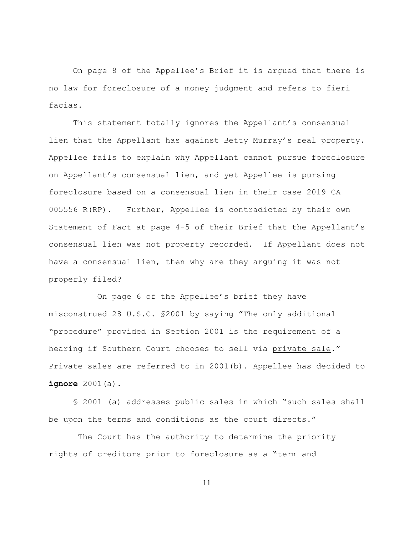On page 8 of the Appellee's Brief it is argued that there is no law for foreclosure of a money judgment and refers to fieri facias.

 This statement totally ignores the Appellant's consensual lien that the Appellant has against Betty Murray's real property. Appellee fails to explain why Appellant cannot pursue foreclosure on Appellant's consensual lien, and yet Appellee is pursing foreclosure based on a consensual lien in their case 2019 CA 005556 R(RP). Further, Appellee is contradicted by their own Statement of Fact at page 4-5 of their Brief that the Appellant's consensual lien was not property recorded. If Appellant does not have a consensual lien, then why are they arguing it was not properly filed?

On page 6 of the Appellee's brief they have misconstrued 28 U.S.C. §2001 by saying "The only additional "procedure" provided in Section 2001 is the requirement of a hearing if Southern Court chooses to sell via private sale." Private sales are referred to in 2001(b). Appellee has decided to **ignore** 2001(a).

§ 2001 (a) addresses public sales in which "such sales shall be upon the terms and conditions as the court directs."

 The Court has the authority to determine the priority rights of creditors prior to foreclosure as a "term and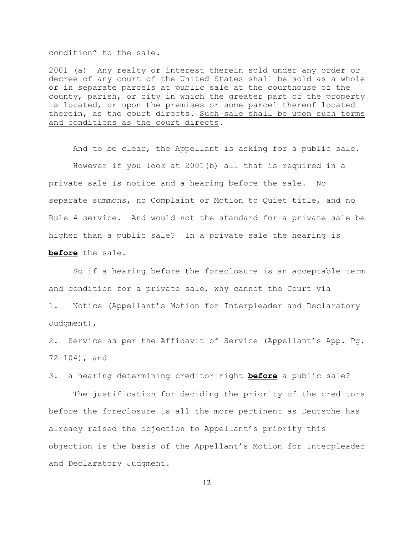condition" to the sale.

2001 (a) Any realty or interest therein sold under any order or decree of any court of the United States shall be sold as a whole or in separate parcels at public sale at the courthouse of the county, parish, or city in which the greater part of the property is located, or upon the premises or some parcel thereof located therein, as the court directs. Such sale shall be upon such terms and conditions as the court directs.

 And to be clear, the Appellant is asking for a public sale. However if you look at 2001(b) all that is required in a private sale is notice and a hearing before the sale. No separate summons, no Complaint or Motion to Quiet title, and no Rule 4 service. And would not the standard for a private sale be higher than a public sale? In a private sale the hearing is **before** the sale.

 So if a hearing before the foreclosure is an acceptable term and condition for a private sale, why cannot the Court via 1. Notice (Appellant's Motion for Interpleader and Declaratory Judgment),

2. Service as per the Affidavit of Service (Appellant's App. Pg. 72-104), and

3. a hearing determining creditor right **before** a public sale?

 The justification for deciding the priority of the creditors before the foreclosure is all the more pertinent as Deutsche has already raised the objection to Appellant's priority this objection is the basis of the Appellant's Motion for Interpleader and Declaratory Judgment.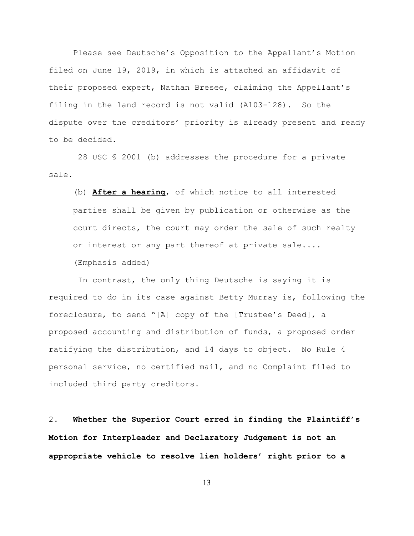Please see Deutsche's Opposition to the Appellant's Motion filed on June 19, 2019, in which is attached an affidavit of their proposed expert, Nathan Bresee, claiming the Appellant's filing in the land record is not valid (A103-128). So the dispute over the creditors' priority is already present and ready to be decided.

 28 USC § 2001 (b) addresses the procedure for a private sale.

(b) **After a hearing**, of which notice to all interested parties shall be given by publication or otherwise as the court directs, the court may order the sale of such realty or interest or any part thereof at private sale.... (Emphasis added)

 In contrast, the only thing Deutsche is saying it is required to do in its case against Betty Murray is, following the foreclosure, to send "[A] copy of the [Trustee's Deed], a proposed accounting and distribution of funds, a proposed order ratifying the distribution, and 14 days to object. No Rule 4 personal service, no certified mail, and no Complaint filed to included third party creditors.

2. **Whether the Superior Court erred in finding the Plaintiff's Motion for Interpleader and Declaratory Judgement is not an appropriate vehicle to resolve lien holders' right prior to a**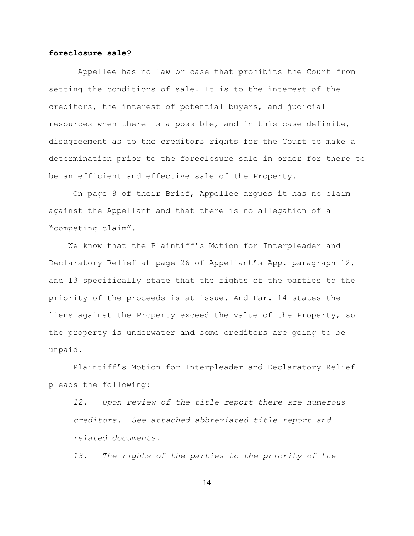#### **foreclosure sale?**

Appellee has no law or case that prohibits the Court from setting the conditions of sale. It is to the interest of the creditors, the interest of potential buyers, and judicial resources when there is a possible, and in this case definite, disagreement as to the creditors rights for the Court to make a determination prior to the foreclosure sale in order for there to be an efficient and effective sale of the Property.

On page 8 of their Brief, Appellee argues it has no claim against the Appellant and that there is no allegation of a "competing claim".

 We know that the Plaintiff's Motion for Interpleader and Declaratory Relief at page 26 of Appellant's App. paragraph 12, and 13 specifically state that the rights of the parties to the priority of the proceeds is at issue. And Par. 14 states the liens against the Property exceed the value of the Property, so the property is underwater and some creditors are going to be unpaid.

 Plaintiff's Motion for Interpleader and Declaratory Relief pleads the following:

*12. Upon review of the title report there are numerous creditors. See attached abbreviated title report and related documents.*

*13. The rights of the parties to the priority of the*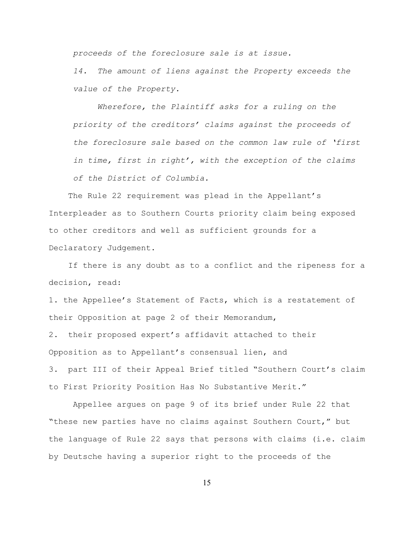*proceeds of the foreclosure sale is at issue.*

*14. The amount of liens against the Property exceeds the value of the Property.*

*Wherefore, the Plaintiff asks for a ruling on the priority of the creditors' claims against the proceeds of the foreclosure sale based on the common law rule of 'first in time, first in right', with the exception of the claims of the District of Columbia.*

 The Rule 22 requirement was plead in the Appellant's Interpleader as to Southern Courts priority claim being exposed to other creditors and well as sufficient grounds for a Declaratory Judgement.

 If there is any doubt as to a conflict and the ripeness for a decision, read:

1. the Appellee's Statement of Facts, which is a restatement of their Opposition at page 2 of their Memorandum, 2. their proposed expert's affidavit attached to their Opposition as to Appellant's consensual lien, and 3. part III of their Appeal Brief titled "Southern Court's claim to First Priority Position Has No Substantive Merit."

 Appellee argues on page 9 of its brief under Rule 22 that "these new parties have no claims against Southern Court," but the language of Rule 22 says that persons with claims (i.e. claim by Deutsche having a superior right to the proceeds of the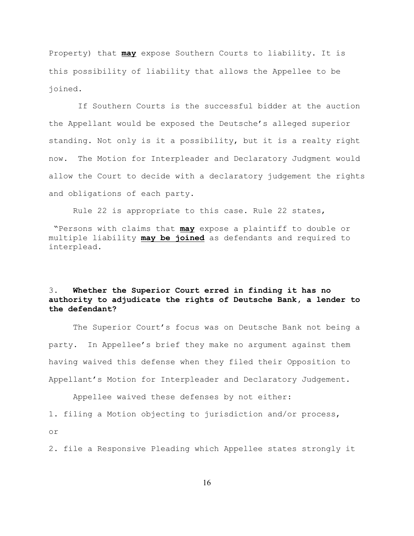Property) that **may** expose Southern Courts to liability. It is this possibility of liability that allows the Appellee to be joined.

 If Southern Courts is the successful bidder at the auction the Appellant would be exposed the Deutsche's alleged superior standing. Not only is it a possibility, but it is a realty right now.The Motion for Interpleader and Declaratory Judgment would allow the Court to decide with a declaratory judgement the rights and obligations of each party.

Rule 22 is appropriate to this case. Rule 22 states,

 "Persons with claims that **may** expose a plaintiff to double or multiple liability **may be joined** as defendants and required to interplead.

# 3. **Whether the Superior Court erred in finding it has no authority to adjudicate the rights of Deutsche Bank, a lender to the defendant?**

The Superior Court's focus was on Deutsche Bank not being a party. In Appellee's brief they make no argument against them having waived this defense when they filed their Opposition to Appellant's Motion for Interpleader and Declaratory Judgement.

Appellee waived these defenses by not either:

1. filing a Motion objecting to jurisdiction and/or process,

or

2. file a Responsive Pleading which Appellee states strongly it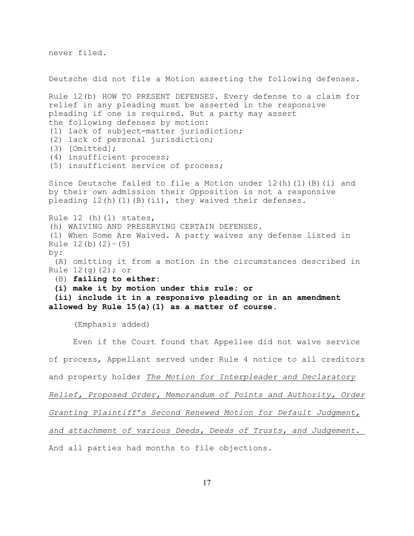never filed.

Deutsche did not file a Motion asserting the following defenses. Rule 12(b) HOW TO PRESENT DEFENSES. Every defense to a claim for relief in any pleading must be asserted in the responsive pleading if one is required. But a party may assert the following defenses by motion: (1) lack of subject-matter jurisdiction; (2) lack of personal jurisdiction; (3) [Omitted]; (4) insufficient process; (5) insufficient service of process; Since Deutsche failed to file a Motion under  $12(h)(1)(B)(i)$  and by their own admission their Opposition is not a responsive pleading  $12(h)(1)(B)(ii)$ , they waived their defenses. Rule  $12$  (h)( $1$ ) states, (h) WAIVING AND PRESERVING CERTAIN DEFENSES. (1) When Some Are Waived. A party waives any defense listed in Rule  $12(b)(2)-(5)$ by: (A) omitting it from a motion in the circumstances described in Rule  $12(q)(2)$ ; or (B) **failing to either: (i) make it by motion under this rule; or (ii) include it in a responsive pleading or in an amendment allowed by Rule 15(a)(1) as a matter of course.**  (Emphasis added) Even if the Court found that Appellee did not waive service

of process, Appellant served under Rule 4 notice to all creditors

and property holder *The Motion for Interpleader and Declaratory*

*Relief, Proposed Order, Memorandum of Points and Authority, Order*

*Granting Plaintiff's Second Renewed Motion for Default Judgment,*

*and attachment of various Deeds, Deeds of Trusts, and Judgement.* 

And all parties had months to file objections.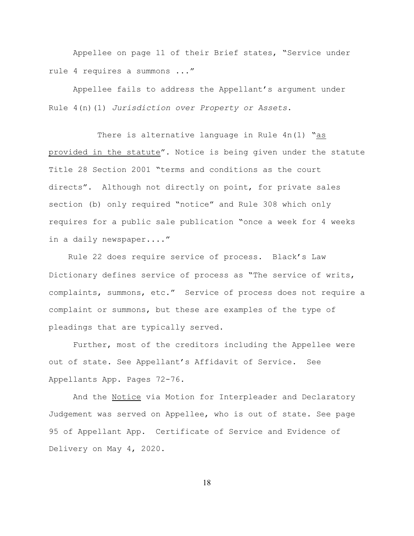Appellee on page 11 of their Brief states, "Service under rule 4 requires a summons ..."

Appellee fails to address the Appellant's argument under Rule 4(n)(1) *Jurisdiction over Property or Assets*.

 There is alternative language in Rule 4n(1) "as provided in the statute". Notice is being given under the statute Title 28 Section 2001 "terms and conditions as the court directs". Although not directly on point, for private sales section (b) only required "notice" and Rule 308 which only requires for a public sale publication "once a week for 4 weeks in a daily newspaper...."

Rule 22 does require service of process. Black's Law Dictionary defines service of process as "The service of writs, complaints, summons, etc." Service of process does not require a complaint or summons, but these are examples of the type of pleadings that are typically served.

Further, most of the creditors including the Appellee were out of state. See Appellant's Affidavit of Service. See Appellants App. Pages 72-76.

 And the Notice via Motion for Interpleader and Declaratory Judgement was served on Appellee, who is out of state. See page 95 of Appellant App. Certificate of Service and Evidence of Delivery on May 4, 2020.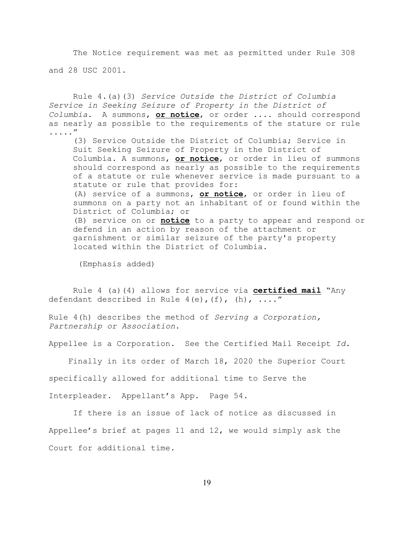The Notice requirement was met as permitted under Rule 308 and 28 USC 2001.

Rule 4.(a)(3) *Service Outside the District of Columbia Service in Seeking Seizure of Property in the District of Columbia.* A summons, **or notice**, or order .... should correspond as nearly as possible to the requirements of the stature or rule ....."

(3) Service Outside the District of Columbia; Service in Suit Seeking Seizure of Property in the District of Columbia. A summons, **or notice**, or order in lieu of summons should correspond as nearly as possible to the requirements of a statute or rule whenever service is made pursuant to a statute or rule that provides for: (A) service of a summons, **or notice**, or order in lieu of

summons on a party not an inhabitant of or found within the District of Columbia; or

(B) service on or **notice** to a party to appear and respond or defend in an action by reason of the attachment or garnishment or similar seizure of the party's property located within the District of Columbia.

(Emphasis added)

Rule 4 (a)(4) allows for service via **certified mail** "Any defendant described in Rule  $4(e)$ ,  $(f)$ ,  $(h)$ , ...."

Rule 4(h) describes the method of *Serving a Corporation, Partnership or Association*.

Appellee is a Corporation. See the Certified Mail Receipt *Id.*

Finally in its order of March 18, 2020 the Superior Court

specifically allowed for additional time to Serve the

Interpleader. Appellant's App. Page 54.

 If there is an issue of lack of notice as discussed in Appellee's brief at pages 11 and 12, we would simply ask the Court for additional time.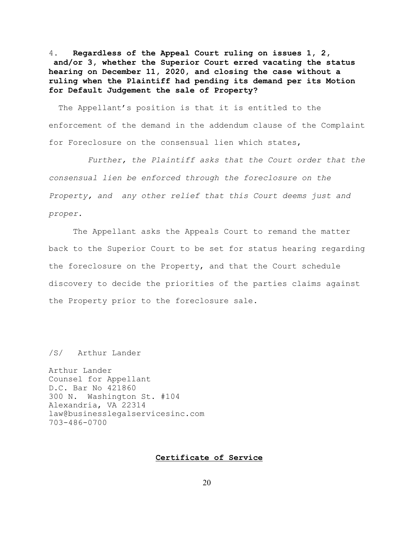4**. Regardless of the Appeal Court ruling on issues 1, 2, and/or 3, whether the Superior Court erred vacating the status hearing on December 11, 2020, and closing the case without a ruling when the Plaintiff had pending its demand per its Motion for Default Judgement the sale of Property?**

 The Appellant's position is that it is entitled to the enforcement of the demand in the addendum clause of the Complaint for Foreclosure on the consensual lien which states,

 *Further, the Plaintiff asks that the Court order that the consensual lien be enforced through the foreclosure on the Property, and any other relief that this Court deems just and proper.*

The Appellant asks the Appeals Court to remand the matter back to the Superior Court to be set for status hearing regarding the foreclosure on the Property, and that the Court schedule discovery to decide the priorities of the parties claims against the Property prior to the foreclosure sale.

/S/ Arthur Lander

Arthur Lander Counsel for Appellant D.C. Bar No 421860 300 N. Washington St. #104 Alexandria, VA 22314 law@businesslegalservicesinc.com 703-486-0700

#### **Certificate of Service**